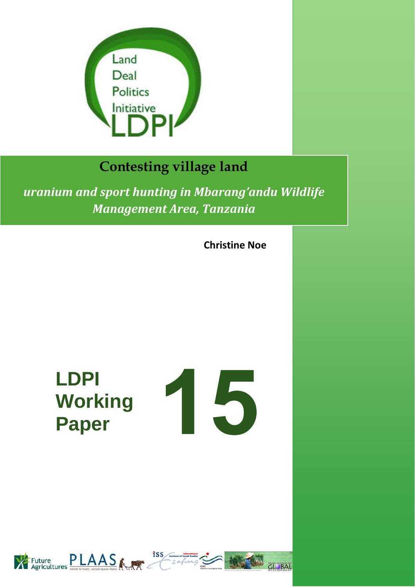

# **Contesting village land**

*uranium and sport hunting in Mbarang'andu Wildlife Management Area, Tanzania*

**Christine Noe**

**LDPI Working Paper** 





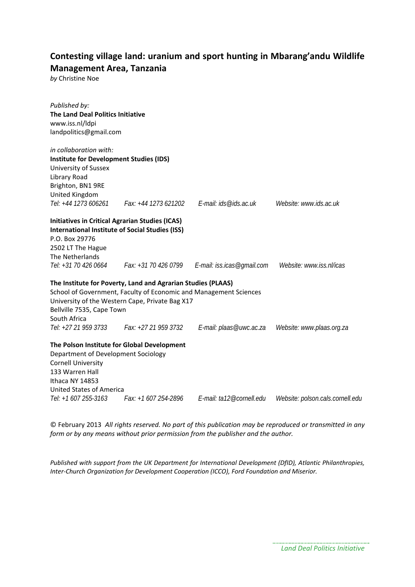## **Contesting village land: uranium and sport hunting in Mbarang'andu Wildlife Management Area, Tanzania**

*by* Christine Noe

| Published by:<br>The Land Deal Politics Initiative<br>www.iss.nl/ldpi<br>landpolitics@gmail.com |                                                                                                                 |                                                                                               |                                  |
|-------------------------------------------------------------------------------------------------|-----------------------------------------------------------------------------------------------------------------|-----------------------------------------------------------------------------------------------|----------------------------------|
|                                                                                                 |                                                                                                                 |                                                                                               |                                  |
| in collaboration with:                                                                          |                                                                                                                 |                                                                                               |                                  |
| <b>Institute for Development Studies (IDS)</b>                                                  |                                                                                                                 |                                                                                               |                                  |
| University of Sussex                                                                            |                                                                                                                 |                                                                                               |                                  |
| Library Road                                                                                    |                                                                                                                 |                                                                                               |                                  |
| Brighton, BN1 9RE                                                                               |                                                                                                                 |                                                                                               |                                  |
| United Kingdom                                                                                  |                                                                                                                 |                                                                                               |                                  |
|                                                                                                 |                                                                                                                 | Tel: +44 1273 606261 Fax: +44 1273 621202 E-mail: ids@ids.ac.uk                               | Website: www.ids.ac.uk           |
| <b>Initiatives in Critical Agrarian Studies (ICAS)</b>                                          |                                                                                                                 |                                                                                               |                                  |
| <b>International Institute of Social Studies (ISS)</b>                                          |                                                                                                                 |                                                                                               |                                  |
| P.O. Box 29776                                                                                  |                                                                                                                 |                                                                                               |                                  |
| 2502 LT The Hague                                                                               |                                                                                                                 |                                                                                               |                                  |
| The Netherlands                                                                                 |                                                                                                                 |                                                                                               |                                  |
|                                                                                                 |                                                                                                                 | Tel: +31 70 426 0664 Fax: +31 70 426 0799 E-mail: iss.icas@gmail.com Website: www.iss.nl/icas |                                  |
| Bellville 7535, Cape Town<br>South Africa                                                       | The Institute for Poverty, Land and Agrarian Studies (PLAAS)<br>University of the Western Cape, Private Bag X17 | School of Government, Faculty of Economic and Management Sciences                             |                                  |
|                                                                                                 | Tel: +27 21 959 3733 Fax: +27 21 959 3732                                                                       |                                                                                               |                                  |
| Department of Development Sociology<br>Cornell University<br>133 Warren Hall<br>Ithaca NY 14853 | The Polson Institute for Global Development                                                                     |                                                                                               |                                  |
| <b>United States of America</b>                                                                 |                                                                                                                 |                                                                                               |                                  |
| Tel: +1 607 255-3163                                                                            |                                                                                                                 |                                                                                               | Website: polson.cals.cornell.edu |

© February 2013 *All rights reserved. No part of this publication may be reproduced or transmitted in any form or by any means without prior permission from the publisher and the author.*

*Published with support from the UK Department for International Development (DfID), Atlantic Philanthropies, Inter‐Church Organization for Development Cooperation (ICCO), Ford Foundation and Miserior.*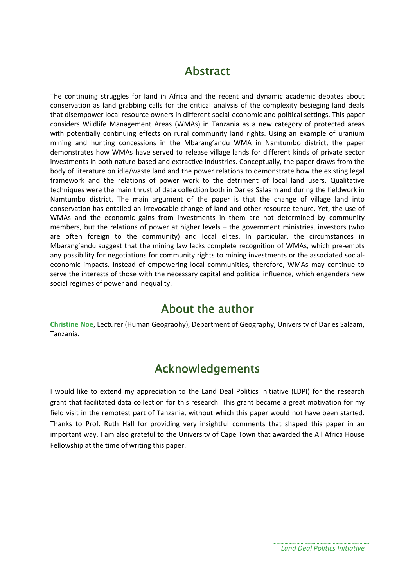## Abstract

The continuing struggles for land in Africa and the recent and dynamic academic debates about conservation as land grabbing calls for the critical analysis of the complexity besieging land deals that disempower local resource owners in different social‐economic and political settings. This paper considers Wildlife Management Areas (WMAs) in Tanzania as a new category of protected areas with potentially continuing effects on rural community land rights. Using an example of uranium mining and hunting concessions in the Mbarang'andu WMA in Namtumbo district, the paper demonstrates how WMAs have served to release village lands for different kinds of private sector investments in both nature-based and extractive industries. Conceptually, the paper draws from the body of literature on idle/waste land and the power relations to demonstrate how the existing legal framework and the relations of power work to the detriment of local land users. Qualitative techniques were the main thrust of data collection both in Dar es Salaam and during the fieldwork in Namtumbo district. The main argument of the paper is that the change of village land into conservation has entailed an irrevocable change of land and other resource tenure. Yet, the use of WMAs and the economic gains from investments in them are not determined by community members, but the relations of power at higher levels – the government ministries, investors (who are often foreign to the community) and local elites. In particular, the circumstances in Mbarang'andu suggest that the mining law lacks complete recognition of WMAs, which pre‐empts any possibility for negotiations for community rights to mining investments or the associated socialeconomic impacts. Instead of empowering local communities, therefore, WMAs may continue to serve the interests of those with the necessary capital and political influence, which engenders new social regimes of power and inequality.

## About the author

**Christine Noe**, Lecturer (Human Geograohy), Department of Geography, University of Dar es Salaam, Tanzania.

## Acknowledgements

I would like to extend my appreciation to the Land Deal Politics Initiative (LDPI) for the research grant that facilitated data collection for this research. This grant became a great motivation for my field visit in the remotest part of Tanzania, without which this paper would not have been started. Thanks to Prof. Ruth Hall for providing very insightful comments that shaped this paper in an important way. I am also grateful to the University of Cape Town that awarded the All Africa House Fellowship at the time of writing this paper.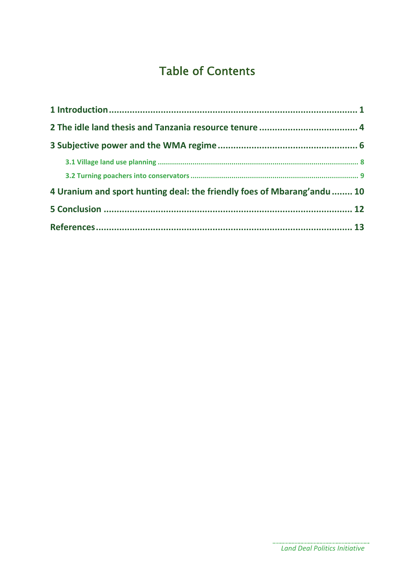# Table of Contents

| 4 Uranium and sport hunting deal: the friendly foes of Mbarang'andu  10 |  |
|-------------------------------------------------------------------------|--|
|                                                                         |  |
|                                                                         |  |

................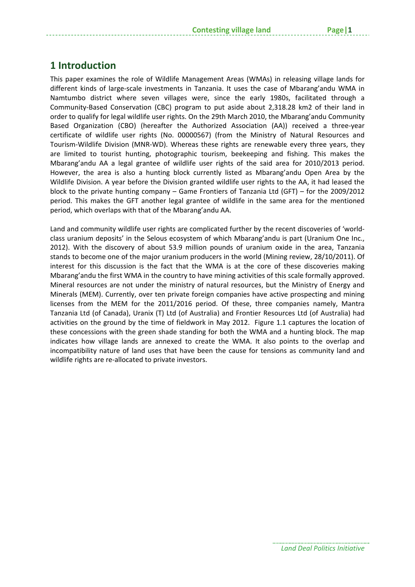## **1 Introduction**

This paper examines the role of Wildlife Management Areas (WMAs) in releasing village lands for different kinds of large‐scale investments in Tanzania. It uses the case of Mbarang'andu WMA in Namtumbo district where seven villages were, since the early 1980s, facilitated through a Community‐Based Conservation (CBC) program to put aside about 2,318.28 km2 of their land in order to qualify for legal wildlife user rights. On the 29th March 2010, the Mbarang'andu Community Based Organization (CBO) (hereafter the Authorized Association (AA)) received a three‐year certificate of wildlife user rights (No. 00000567) (from the Ministry of Natural Resources and Tourism‐Wildlife Division (MNR‐WD). Whereas these rights are renewable every three years, they are limited to tourist hunting, photographic tourism, beekeeping and fishing. This makes the Mbarang'andu AA a legal grantee of wildlife user rights of the said area for 2010/2013 period. However, the area is also a hunting block currently listed as Mbarang'andu Open Area by the Wildlife Division. A year before the Division granted wildlife user rights to the AA, it had leased the block to the private hunting company – Game Frontiers of Tanzania Ltd (GFT) – for the 2009/2012 period. This makes the GFT another legal grantee of wildlife in the same area for the mentioned period, which overlaps with that of the Mbarang'andu AA.

Land and community wildlife user rights are complicated further by the recent discoveries of 'world‐ class uranium deposits' in the Selous ecosystem of which Mbarang'andu is part (Uranium One Inc., 2012). With the discovery of about 53.9 million pounds of uranium oxide in the area, Tanzania stands to become one of the major uranium producers in the world (Mining review, 28/10/2011). Of interest for this discussion is the fact that the WMA is at the core of these discoveries making Mbarang'andu the first WMA in the country to have mining activities of this scale formally approved. Mineral resources are not under the ministry of natural resources, but the Ministry of Energy and Minerals (MEM). Currently, over ten private foreign companies have active prospecting and mining licenses from the MEM for the 2011/2016 period. Of these, three companies namely, Mantra Tanzania Ltd (of Canada), Uranix (T) Ltd (of Australia) and Frontier Resources Ltd (of Australia) had activities on the ground by the time of fieldwork in May 2012. Figure 1.1 captures the location of these concessions with the green shade standing for both the WMA and a hunting block. The map indicates how village lands are annexed to create the WMA. It also points to the overlap and incompatibility nature of land uses that have been the cause for tensions as community land and wildlife rights are re-allocated to private investors.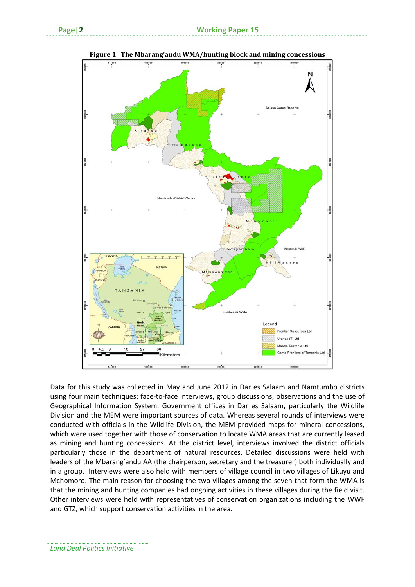

**Figure 1 The Mbarang'andu WMA/hunting block and mining concessions**

Data for this study was collected in May and June 2012 in Dar es Salaam and Namtumbo districts using four main techniques: face-to-face interviews, group discussions, observations and the use of Geographical Information System. Government offices in Dar es Salaam, particularly the Wildlife Division and the MEM were important sources of data. Whereas several rounds of interviews were conducted with officials in the Wildlife Division, the MEM provided maps for mineral concessions, which were used together with those of conservation to locate WMA areas that are currently leased as mining and hunting concessions. At the district level, interviews involved the district officials particularly those in the department of natural resources. Detailed discussions were held with leaders of the Mbarang'andu AA (the chairperson, secretary and the treasurer) both individually and in a group. Interviews were also held with members of village council in two villages of Likuyu and Mchomoro. The main reason for choosing the two villages among the seven that form the WMA is that the mining and hunting companies had ongoing activities in these villages during the field visit. Other interviews were held with representatives of conservation organizations including the WWF and GTZ, which support conservation activities in the area.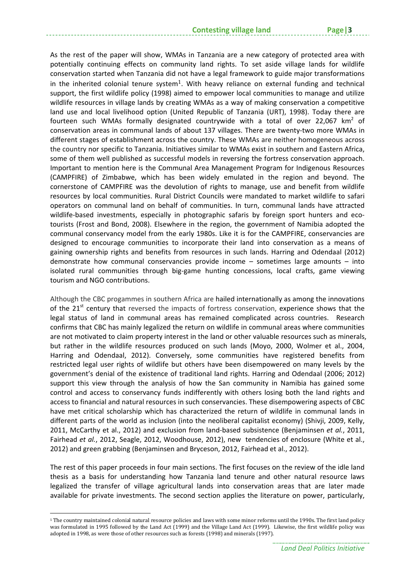As the rest of the paper will show, WMAs in Tanzania are a new category of protected area with potentially continuing effects on community land rights. To set aside village lands for wildlife conservation started when Tanzania did not have a legal framework to guide major transformations in the inherited colonial tenure system<sup>1</sup>. With heavy reliance on external funding and technical support, the first wildlife policy (1998) aimed to empower local communities to manage and utilize wildlife resources in village lands by creating WMAs as a way of making conservation a competitive land use and local livelihood option (United Republic of Tanzania (URT), 1998). Today there are fourteen such WMAs formally designated countrywide with a total of over 22,067  $km^2$  of conservation areas in communal lands of about 137 villages. There are twenty‐two more WMAs in different stages of establishment across the country. These WMAs are neither homogeneous across the country nor specific to Tanzania. Initiatives similar to WMAs exist in southern and Eastern Africa, some of them well published as successful models in reversing the fortress conservation approach. Important to mention here is the Communal Area Management Program for Indigenous Resources (CAMPFIRE) of Zimbabwe, which has been widely emulated in the region and beyond. The cornerstone of CAMPFIRE was the devolution of rights to manage, use and benefit from wildlife resources by local communities. Rural District Councils were mandated to market wildlife to safari operators on communal land on behalf of communities. In turn, communal lands have attracted wildlife-based investments, especially in photographic safaris by foreign sport hunters and ecotourists (Frost and Bond, 2008). Elsewhere in the region, the government of Namibia adopted the communal conservancy model from the early 1980s. Like it is for the CAMPFIRE, conservancies are designed to encourage communities to incorporate their land into conservation as a means of gaining ownership rights and benefits from resources in such lands. Harring and Odendaal (2012) demonstrate how communal conservancies provide income – sometimes large amounts – into isolated rural communities through big‐game hunting concessions, local crafts, game viewing tourism and NGO contributions.

Although the CBC progammes in southern Africa are hailed internationally as among the innovations of the 21<sup>st</sup> century that reversed the impacts of fortress conservation, experience shows that the legal status of land in communal areas has remained complicated across countries. Research confirms that CBC has mainly legalized the return on wildlife in communal areas where communities are not motivated to claim property interest in the land or other valuable resources such as minerals, but rather in the wildlife resources produced on such lands (Moyo, 2000, Wolmer et al., 2004, Harring and Odendaal, 2012). Conversely, some communities have registered benefits from restricted legal user rights of wildlife but others have been disempowered on many levels by the government's denial of the existence of traditional land rights. Harring and Odendaal (2006; 2012) support this view through the analysis of how the San community in Namibia has gained some control and access to conservancy funds indifferently with others losing both the land rights and access to financial and natural resources in such conservancies. These disempowering aspects of CBC have met critical scholarship which has characterized the return of wildlife in communal lands in different parts of the world as inclusion (into the neoliberal capitalist economy) (Shivji, 2009, Kelly, 2011, McCarthy et al., 2012) and exclusion from land‐based subsistence (Benjaminsen *et al.*, 2011, Fairhead *et al.*, 2012, Seagle, 2012, Woodhouse, 2012), new tendencies of enclosure (White et al., 2012) and green grabbing (Benjaminsen and Bryceson, 2012, Fairhead et al., 2012).

The rest of this paper proceeds in four main sections. The first focuses on the review of the idle land thesis as a basis for understanding how Tanzania land tenure and other natural resource laws legalized the transfer of village agricultural lands into conservation areas that are later made available for private investments. The second section applies the literature on power, particularly,

<sup>1</sup> The country maintained colonial natural resource policies and laws with some minor reforms until the 1990s. The first land policy was formulated in 1995 followed by the Land Act (1999) and the Village Land Act (1999). Likewise, the first wildlife policy was adopted in 1998, as were those of other resources such as forests (1998) and minerals (1997).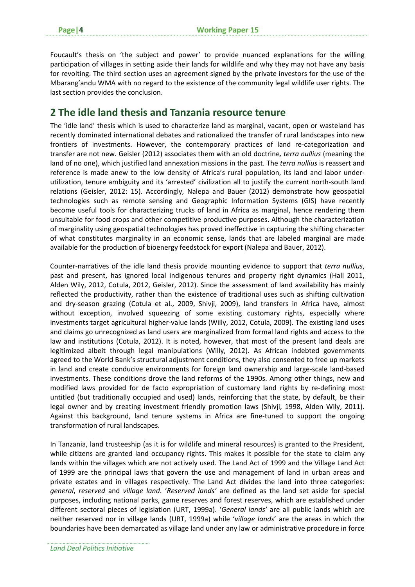Foucault's thesis on 'the subject and power' to provide nuanced explanations for the willing participation of villages in setting aside their lands for wildlife and why they may not have any basis for revolting. The third section uses an agreement signed by the private investors for the use of the Mbarang'andu WMA with no regard to the existence of the community legal wildlife user rights. The last section provides the conclusion.

## **2 The idle land thesis and Tanzania resource tenure**

The 'idle land' thesis which is used to characterize land as marginal, vacant, open or wasteland has recently dominated international debates and rationalized the transfer of rural landscapes into new frontiers of investments. However, the contemporary practices of land re-categorization and transfer are not new. Geisler (2012) associates them with an old doctrine*, terra nullius* (meaning the land of no one), which justified land annexation missions in the past. The *terra nullius* is reassert and reference is made anew to the low density of Africa's rural population, its land and labor under‐ utilization, tenure ambiguity and its 'arrested' civilization all to justify the current north‐south land relations (Geisler, 2012: 15). Accordingly, Nalepa and Bauer (2012) demonstrate how geospatial technologies such as remote sensing and Geographic Information Systems (GIS) have recently become useful tools for characterizing trucks of land in Africa as marginal, hence rendering them unsuitable for food crops and other competitive productive purposes. Although the characterization of marginality using geospatial technologies has proved ineffective in capturing the shifting character of what constitutes marginality in an economic sense, lands that are labeled marginal are made available for the production of bioenergy feedstock for export (Nalepa and Bauer, 2012).

Counter‐narratives of the idle land thesis provide mounting evidence to support that *terra nullius*, past and present, has ignored local indigenous tenures and property right dynamics (Hall 2011, Alden Wily, 2012, Cotula, 2012, Geisler, 2012). Since the assessment of land availability has mainly reflected the productivity, rather than the existence of traditional uses such as shifting cultivation and dry‐season grazing (Cotula et al., 2009, Shivji, 2009), land transfers in Africa have, almost without exception, involved squeezing of some existing customary rights, especially where investments target agricultural higher‐value lands (Willy, 2012, Cotula, 2009). The existing land uses and claims go unrecognized as land users are marginalized from formal land rights and access to the law and institutions (Cotula, 2012). It is noted, however, that most of the present land deals are legitimized albeit through legal manipulations (Willy, 2012). As African indebted governments agreed to the World Bank's structural adjustment conditions, they also consented to free up markets in land and create conducive environments for foreign land ownership and large-scale land-based investments. These conditions drove the land reforms of the 1990s. Among other things, new and modified laws provided for de facto expropriation of customary land rights by re‐defining most untitled (but traditionally occupied and used) lands, reinforcing that the state, by default, be their legal owner and by creating investment friendly promotion laws (Shivji, 1998, Alden Wily, 2011). Against this background, land tenure systems in Africa are fine‐tuned to support the ongoing transformation of rural landscapes.

In Tanzania, land trusteeship (as it is for wildlife and mineral resources) is granted to the President, while citizens are granted land occupancy rights. This makes it possible for the state to claim any lands within the villages which are not actively used. The Land Act of 1999 and the Village Land Act of 1999 are the principal laws that govern the use and management of land in urban areas and private estates and in villages respectively. The Land Act divides the land into three categories: *general*, *reserved* and *village land*. '*Reserved lands'* are defined as the land set aside for special purposes, including national parks, game reserves and forest reserves, which are established under different sectoral pieces of legislation (URT, 1999a). '*General lands'* are all public lands which are neither reserved nor in village lands (URT, 1999a) while '*village lands*' are the areas in which the boundaries have been demarcated as village land under any law or administrative procedure in force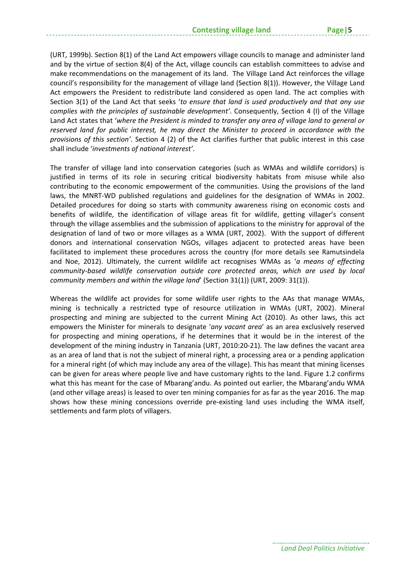(URT, 1999b). Section 8(1) of the Land Act empowers village councils to manage and administer land and by the virtue of section 8(4) of the Act, village councils can establish committees to advise and make recommendations on the management of its land. The Village Land Act reinforces the village council's responsibility for the management of village land (Section 8(1)). However, the Village Land Act empowers the President to redistribute land considered as open land. The act complies with Section 3(1) of the Land Act that seeks '*to ensure that land is used productively and that any use complies with the principles of sustainable development'*. Consequently, Section 4 (I) of the Village Land Act states that '*where the President is minded to transfer any area of village land to general or reserved land for public interest, he may direct the Minister to proceed in accordance with the provisions of this section'*. Section 4 (2) of the Act clarifies further that public interest in this case shall include '*investments of national interest'*.

The transfer of village land into conservation categories (such as WMAs and wildlife corridors) is justified in terms of its role in securing critical biodiversity habitats from misuse while also contributing to the economic empowerment of the communities. Using the provisions of the land laws, the MNRT‐WD published regulations and guidelines for the designation of WMAs in 2002. Detailed procedures for doing so starts with community awareness rising on economic costs and benefits of wildlife, the identification of village areas fit for wildlife, getting villager's consent through the village assemblies and the submission of applications to the ministry for approval of the designation of land of two or more villages as a WMA (URT, 2002). With the support of different donors and international conservation NGOs, villages adjacent to protected areas have been facilitated to implement these procedures across the country (for more details see Ramutsindela and Noe, 2012). Ultimately, the current wildlife act recognises WMAs as '*a means of effecting community‐based wildlife conservation outside core protected areas, which are used by local community members and within the village land*' (Section 31(1)) (URT, 2009: 31(1)).

Whereas the wildlife act provides for some wildlife user rights to the AAs that manage WMAs, mining is technically a restricted type of resource utilization in WMAs (URT, 2002). Mineral prospecting and mining are subjected to the current Mining Act (2010). As other laws, this act empowers the Minister for minerals to designate '*any vacant area*' as an area exclusively reserved for prospecting and mining operations, if he determines that it would be in the interest of the development of the mining industry in Tanzania (URT, 2010:20‐21). The law defines the vacant area as an area of land that is not the subject of mineral right, a processing area or a pending application for a mineral right (of which may include any area of the village). This has meant that mining licenses can be given for areas where people live and have customary rights to the land. Figure 1.2 confirms what this has meant for the case of Mbarang'andu. As pointed out earlier, the Mbarang'andu WMA (and other village areas) is leased to over ten mining companies for as far as the year 2016. The map shows how these mining concessions override pre-existing land uses including the WMA itself, settlements and farm plots of villagers.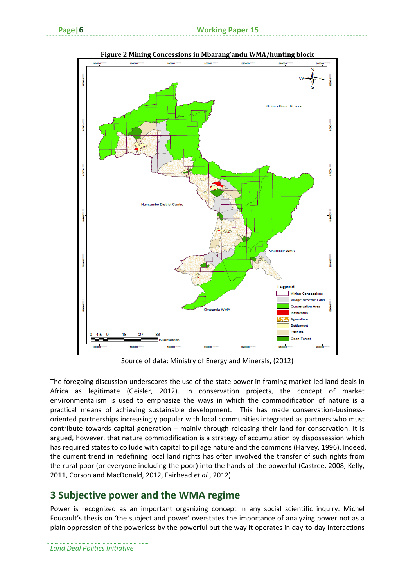

**Figure 2 Mining Concessions in Mbarang'andu WMA/hunting block**

Source of data: Ministry of Energy and Minerals, (2012)

The foregoing discussion underscores the use of the state power in framing market-led land deals in Africa as legitimate (Geisler, 2012). In conservation projects, the concept of market environmentalism is used to emphasize the ways in which the commodification of nature is a practical means of achieving sustainable development. This has made conservation-businessoriented partnerships increasingly popular with local communities integrated as partners who must contribute towards capital generation – mainly through releasing their land for conservation. It is argued, however, that nature commodification is a strategy of accumulation by dispossession which has required states to collude with capital to pillage nature and the commons (Harvey, 1996). Indeed, the current trend in redefining local land rights has often involved the transfer of such rights from the rural poor (or everyone including the poor) into the hands of the powerful (Castree, 2008, Kelly, 2011, Corson and MacDonald, 2012, Fairhead *et al.*, 2012).

## **3 Subjective power and the WMA regime**

Power is recognized as an important organizing concept in any social scientific inquiry. Michel Foucault's thesis on 'the subject and power' overstates the importance of analyzing power not as a plain oppression of the powerless by the powerful but the way it operates in day‐to‐day interactions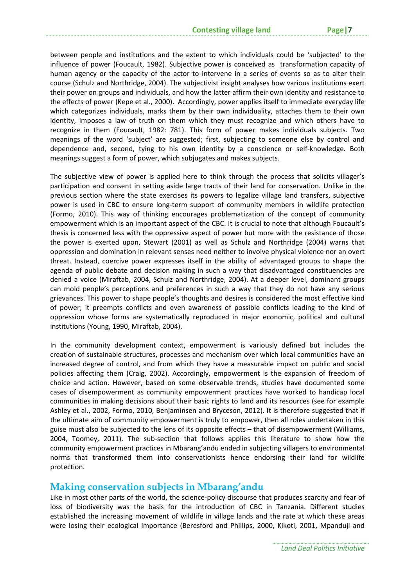between people and institutions and the extent to which individuals could be 'subjected' to the influence of power (Foucault, 1982). Subjective power is conceived as transformation capacity of human agency or the capacity of the actor to intervene in a series of events so as to alter their course (Schulz and Northridge, 2004). The subjectivist insight analyses how various institutions exert their power on groups and individuals, and how the latter affirm their own identity and resistance to the effects of power (Kepe et al., 2000). Accordingly, power applies itself to immediate everyday life which categorizes individuals, marks them by their own individuality, attaches them to their own identity, imposes a law of truth on them which they must recognize and which others have to recognize in them (Foucault, 1982: 781). This form of power makes individuals subjects. Two meanings of the word 'subject' are suggested; first, subjecting to someone else by control and dependence and, second, tying to his own identity by a conscience or self-knowledge. Both meanings suggest a form of power, which subjugates and makes subjects.

The subjective view of power is applied here to think through the process that solicits villager's participation and consent in setting aside large tracts of their land for conservation. Unlike in the previous section where the state exercises its powers to legalize village land transfers, subjective power is used in CBC to ensure long‐term support of community members in wildlife protection (Formo, 2010). This way of thinking encourages problematization of the concept of community empowerment which is an important aspect of the CBC. It is crucial to note that although Foucault's thesis is concerned less with the oppressive aspect of power but more with the resistance of those the power is exerted upon, Stewart (2001) as well as Schulz and Northridge (2004) warns that oppression and domination in relevant senses need neither to involve physical violence nor an overt threat. Instead, coercive power expresses itself in the ability of advantaged groups to shape the agenda of public debate and decision making in such a way that disadvantaged constituencies are denied a voice (Miraftab, 2004, Schulz and Northridge, 2004). At a deeper level, dominant groups can mold people's perceptions and preferences in such a way that they do not have any serious grievances. This power to shape people's thoughts and desires is considered the most effective kind of power; it preempts conflicts and even awareness of possible conflicts leading to the kind of oppression whose forms are systematically reproduced in major economic, political and cultural institutions (Young, 1990, Miraftab, 2004).

In the community development context, empowerment is variously defined but includes the creation of sustainable structures, processes and mechanism over which local communities have an increased degree of control, and from which they have a measurable impact on public and social policies affecting them (Craig, 2002). Accordingly, empowerment is the expansion of freedom of choice and action. However, based on some observable trends, studies have documented some cases of disempowerment as community empowerment practices have worked to handicap local communities in making decisions about their basic rights to land and its resources (see for example Ashley et al., 2002, Formo, 2010, Benjaminsen and Bryceson, 2012). It is therefore suggested that if the ultimate aim of community empowerment is truly to empower, then all roles undertaken in this guise must also be subjected to the lens of its opposite effects – that of disempowerment (Williams, 2004, Toomey, 2011). The sub‐section that follows applies this literature to show how the community empowerment practices in Mbarang'andu ended in subjecting villagers to environmental norms that transformed them into conservationists hence endorsing their land for wildlife protection.

#### **Making conservation subjects in Mbarang'andu**

Like in most other parts of the world, the science-policy discourse that produces scarcity and fear of loss of biodiversity was the basis for the introduction of CBC in Tanzania. Different studies established the increasing movement of wildlife in village lands and the rate at which these areas were losing their ecological importance (Beresford and Phillips, 2000, Kikoti, 2001, Mpanduji and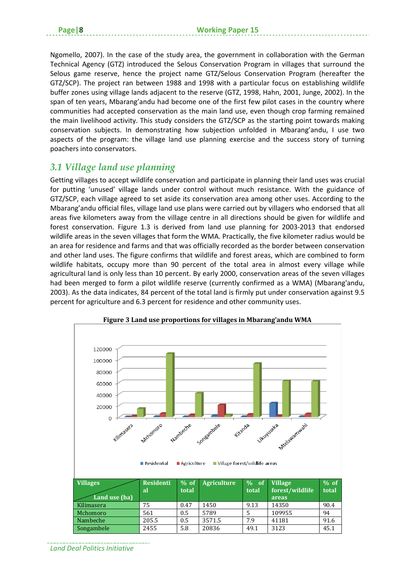Ngomello, 2007). In the case of the study area, the government in collaboration with the German Technical Agency (GTZ) introduced the Selous Conservation Program in villages that surround the Selous game reserve, hence the project name GTZ/Selous Conservation Program (hereafter the GTZ/SCP). The project ran between 1988 and 1998 with a particular focus on establishing wildlife buffer zones using village lands adjacent to the reserve (GTZ, 1998, Hahn, 2001, Junge, 2002). In the span of ten years, Mbarang'andu had become one of the first few pilot cases in the country where communities had accepted conservation as the main land use, even though crop farming remained the main livelihood activity. This study considers the GTZ/SCP as the starting point towards making conservation subjects. In demonstrating how subjection unfolded in Mbarang'andu, I use two aspects of the program: the village land use planning exercise and the success story of turning poachers into conservators.

## *3.1 Village land use planning*

Getting villages to accept wildlife conservation and participate in planning their land uses was crucial for putting 'unused' village lands under control without much resistance. With the guidance of GTZ/SCP, each village agreed to set aside its conservation area among other uses. According to the Mbarang'andu official files, village land use plans were carried out by villagers who endorsed that all areas five kilometers away from the village centre in all directions should be given for wildlife and forest conservation. Figure 1.3 is derived from land use planning for 2003-2013 that endorsed wildlife areas in the seven villages that form the WMA. Practically, the five kilometer radius would be an area for residence and farms and that was officially recorded as the border between conservation and other land uses. The figure confirms that wildlife and forest areas, which are combined to form wildlife habitats, occupy more than 90 percent of the total area in almost every village while agricultural land is only less than 10 percent. By early 2000, conservation areas of the seven villages had been merged to form a pilot wildlife reserve (currently confirmed as a WMA) (Mbarang'andu, 2003). As the data indicates, 84 percent of the total land is firmly put under conservation against 9.5 percent for agriculture and 6.3 percent for residence and other community uses.



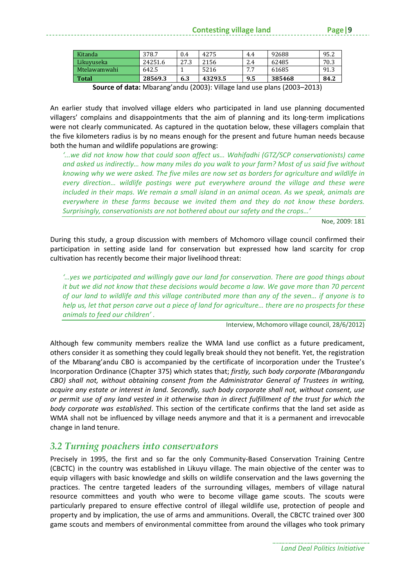| Kitanda      | 378.7   | 0.4  | 4275    | 4.4     | 92688  | 95.2 |
|--------------|---------|------|---------|---------|--------|------|
| Likuvuseka   | 24251.6 | 27.3 | 2156    | 2.4     | 62485  | 70.3 |
| Mtelawamwahi | 642.5   |      | 5216    | 77<br>. | 61685  | 91.3 |
| <b>Total</b> | 28569.3 | 6.3  | 43293.5 | 9.5     | 385468 | 84.2 |

**Source of data:** Mbarang'andu (2003): Village land use plans (2003–2013)

An earlier study that involved village elders who participated in land use planning documented villagers' complains and disappointments that the aim of planning and its long‐term implications were not clearly communicated. As captured in the quotation below, these villagers complain that the five kilometers radius is by no means enough for the present and future human needs because both the human and wildlife populations are growing:

*'...we did not know how that could soon affect us… Wahifadhi (GTZ/SCP conservationists) came* and asked us indirectly... how many miles do you walk to your farm? Most of us said five without *knowing why we were asked. The five miles are now set as borders for agriculture and wildlife in every direction… wildlife postings were put everywhere around the village and these were included in their maps. We remain a small island in an animal ocean. As we speak, animals are everywhere in these farms because we invited them and they do not know these borders. Surprisingly, conservationists are not bothered about our safety and the crops…'*

Noe, 2009: 181

During this study, a group discussion with members of Mchomoro village council confirmed their participation in setting aside land for conservation but expressed how land scarcity for crop cultivation has recently become their major livelihood threat:

*'…yes we participated and willingly gave our land for conservation. There are good things about* it but we did not know that these decisions would become a law. We gave more than 70 percent of our land to wildlife and this village contributed more than any of the seven... if anyone is to help us, let that person carve out a piece of land for agriculture... there are no prospects for these *animals to feed our children' .*

Interview, Mchomoro village council, 28/6/2012)

Although few community members realize the WMA land use conflict as a future predicament, others consider it as something they could legally break should they not benefit. Yet, the registration of the Mbarang'andu CBO is accompanied by the certificate of incorporation under the Trustee's Incorporation Ordinance (Chapter 375) which states that; *firstly, such body corporate (Mbarangandu CBO) shall not, without obtaining consent from the Administrator General of Trustees in writing, acquire any estate or interest in land. Secondly, such body corporate shall not, without consent, use* or permit use of any land vested in it otherwise than in direct fulfillment of the trust for which the *body corporate was established*. This section of the certificate confirms that the land set aside as WMA shall not be influenced by village needs anymore and that it is a permanent and irrevocable change in land tenure.

### *3.2 Turning poachers into conservators*

Precisely in 1995, the first and so far the only Community‐Based Conservation Training Centre (CBCTC) in the country was established in Likuyu village. The main objective of the center was to equip villagers with basic knowledge and skills on wildlife conservation and the laws governing the practices. The centre targeted leaders of the surrounding villages, members of village natural resource committees and youth who were to become village game scouts. The scouts were particularly prepared to ensure effective control of illegal wildlife use, protection of people and property and by implication, the use of arms and ammunitions. Overall, the CBCTC trained over 300 game scouts and members of environmental committee from around the villages who took primary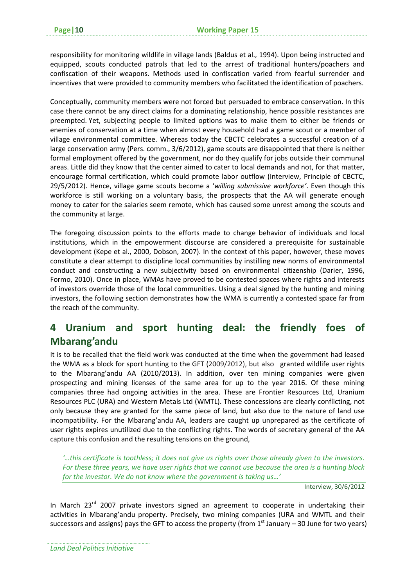responsibility for monitoring wildlife in village lands (Baldus et al., 1994). Upon being instructed and equipped, scouts conducted patrols that led to the arrest of traditional hunters/poachers and confiscation of their weapons. Methods used in confiscation varied from fearful surrender and incentives that were provided to community members who facilitated the identification of poachers.

Conceptually, community members were not forced but persuaded to embrace conservation. In this case there cannot be any direct claims for a dominating relationship, hence possible resistances are preempted. Yet, subjecting people to limited options was to make them to either be friends or enemies of conservation at a time when almost every household had a game scout or a member of village environmental committee. Whereas today the CBCTC celebrates a successful creation of a large conservation army (Pers. comm., 3/6/2012), game scouts are disappointed that there is neither formal employment offered by the government, nor do they qualify for jobs outside their communal areas. Little did they know that the center aimed to cater to local demands and not, for that matter, encourage formal certification, which could promote labor outflow (Interview, Principle of CBCTC, 29/5/2012). Hence, village game scouts become a '*willing submissive workforce'*. Even though this workforce is still working on a voluntary basis, the prospects that the AA will generate enough money to cater for the salaries seem remote, which has caused some unrest among the scouts and the community at large.

The foregoing discussion points to the efforts made to change behavior of individuals and local institutions, which in the empowerment discourse are considered a prerequisite for sustainable development (Kepe et al., 2000, Dobson, 2007). In the context of this paper, however, these moves constitute a clear attempt to discipline local communities by instilling new norms of environmental conduct and constructing a new subjectivity based on environmental citizenship (Darier, 1996, Formo, 2010). Once in place, WMAs have proved to be contested spaces where rights and interests of investors override those of the local communities. Using a deal signed by the hunting and mining investors, the following section demonstrates how the WMA is currently a contested space far from the reach of the community.

## **4 Uranium and sport hunting deal: the friendly foes of Mbarang'andu**

It is to be recalled that the field work was conducted at the time when the government had leased the WMA as a block for sport hunting to the GFT (2009/2012), but also granted wildlife user rights to the Mbarang'andu AA (2010/2013). In addition, over ten mining companies were given prospecting and mining licenses of the same area for up to the year 2016. Of these mining companies three had ongoing activities in the area. These are Frontier Resources Ltd, Uranium Resources PLC (URA) and Western Metals Ltd (WMTL). These concessions are clearly conflicting, not only because they are granted for the same piece of land, but also due to the nature of land use incompatibility. For the Mbarang'andu AA, leaders are caught up unprepared as the certificate of user rights expires unutilized due to the conflicting rights. The words of secretary general of the AA capture this confusion and the resulting tensions on the ground,

*'…this certificate is toothless; it does not give us rights over those already given to the investors.* For these three years, we have user rights that we cannot use because the area is a hunting block *for the investor. We do not know where the government is taking us…'* 

Interview, 30/6/2012

In March  $23<sup>rd</sup>$  2007 private investors signed an agreement to cooperate in undertaking their activities in Mbarang'andu property. Precisely, two mining companies (URA and WMTL and their successors and assigns) pays the GFT to access the property (from  $1<sup>st</sup>$  January – 30 June for two years)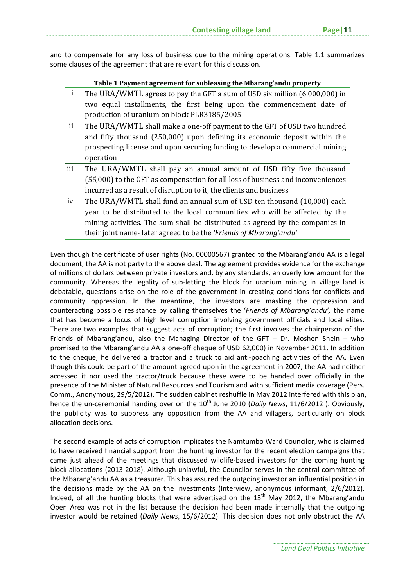and to compensate for any loss of business due to the mining operations. Table 1.1 summarizes some clauses of the agreement that are relevant for this discussion.

| Table 1 Payment agreement for subleasing the Mbarang'andu property |  |
|--------------------------------------------------------------------|--|
|                                                                    |  |

| i.   | The URA/WMTL agrees to pay the GFT a sum of USD six million (6,000,000) in      |
|------|---------------------------------------------------------------------------------|
|      | two equal installments, the first being upon the commencement date of           |
|      | production of uranium on block PLR3185/2005                                     |
| ii.  | The URA/WMTL shall make a one-off payment to the GFT of USD two hundred         |
|      | and fifty thousand (250,000) upon defining its economic deposit within the      |
|      | prospecting license and upon securing funding to develop a commercial mining    |
|      | operation                                                                       |
| iii. | The URA/WMTL shall pay an annual amount of USD fifty five thousand              |
|      | (55,000) to the GFT as compensation for all loss of business and inconveniences |
|      | incurred as a result of disruption to it, the clients and business              |
| iv.  | The URA/WMTL shall fund an annual sum of USD ten thousand (10,000) each         |
|      | year to be distributed to the local communities who will be affected by the     |
|      | mining activities. The sum shall be distributed as agreed by the companies in   |
|      | their joint name-later agreed to be the 'Friends of Mbarang' andu'              |

Even though the certificate of user rights (No. 00000567) granted to the Mbarang'andu AA is a legal document, the AA is not party to the above deal. The agreement provides evidence for the exchange of millions of dollars between private investors and, by any standards, an overly low amount for the community. Whereas the legality of sub-letting the block for uranium mining in village land is debatable, questions arise on the role of the government in creating conditions for conflicts and community oppression. In the meantime, the investors are masking the oppression and counteracting possible resistance by calling themselves the '*Friends of Mbarang'andu',* the name that has become a locus of high level corruption involving government officials and local elites. There are two examples that suggest acts of corruption; the first involves the chairperson of the Friends of Mbarang'andu, also the Managing Director of the GFT – Dr. Moshen Shein – who promised to the Mbarang'andu AA a one‐off cheque of USD 62,000) in November 2011. In addition to the cheque, he delivered a tractor and a truck to aid anti-poaching activities of the AA. Even though this could be part of the amount agreed upon in the agreement in 2007, the AA had neither accessed it nor used the tractor/truck because these were to be handed over officially in the presence of the Minister of Natural Resources and Tourism and with sufficient media coverage (Pers. Comm., Anonymous, 29/5/2012). The sudden cabinet reshuffle in May 2012 interfered with this plan, hence the un-ceremonial handing over on the 10<sup>th</sup> June 2010 (*Daily News*, 11/6/2012 ). Obviously, the publicity was to suppress any opposition from the AA and villagers, particularly on block allocation decisions.

The second example of acts of corruption implicates the Namtumbo Ward Councilor, who is claimed to have received financial support from the hunting investor for the recent election campaigns that came just ahead of the meetings that discussed wildlife‐based investors for the coming hunting block allocations (2013‐2018). Although unlawful, the Councilor serves in the central committee of the Mbarang'andu AA as a treasurer. This has assured the outgoing investor an influential position in the decisions made by the AA on the investments (Interview, anonymous informant, 2/6/2012). Indeed, of all the hunting blocks that were advertised on the  $13<sup>th</sup>$  May 2012, the Mbarang'andu Open Area was not in the list because the decision had been made internally that the outgoing investor would be retained (*Daily News*, 15/6/2012). This decision does not only obstruct the AA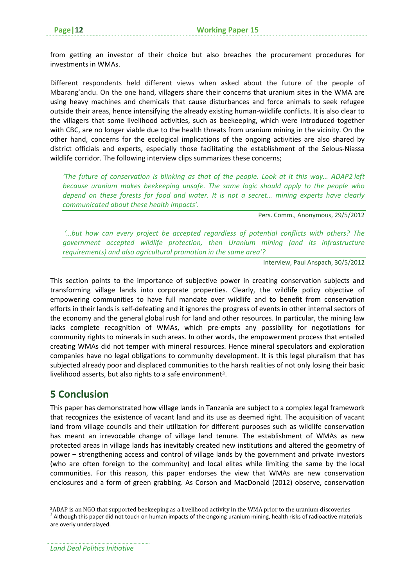from getting an investor of their choice but also breaches the procurement procedures for investments in WMAs.

Different respondents held different views when asked about the future of the people of Mbarang'andu. On the one hand, villagers share their concerns that uranium sites in the WMA are using heavy machines and chemicals that cause disturbances and force animals to seek refugee outside their areas, hence intensifying the already existing human‐wildlife conflicts. It is also clear to the villagers that some livelihood activities, such as beekeeping, which were introduced together with CBC, are no longer viable due to the health threats from uranium mining in the vicinity. On the other hand, concerns for the ecological implications of the ongoing activities are also shared by district officials and experts, especially those facilitating the establishment of the Selous‐Niassa wildlife corridor. The following interview clips summarizes these concerns;

*'The future of conservation is blinking as that of the people. Look at it this way… ADAP2 left because uranium makes beekeeping unsafe. The same logic should apply to the people who depend on these forests for food and water. It is not a secret… mining experts have clearly communicated about these health impacts'.*

Pers. Comm., Anonymous, 29/5/2012

*'…but how can every project be accepted regardless of potential conflicts with others? The government accepted wildlife protection, then Uranium mining (and its infrastructure requirements) and also agricultural promotion in the same area'?*

Interview, Paul Anspach, 30/5/2012

This section points to the importance of subjective power in creating conservation subjects and transforming village lands into corporate properties. Clearly, the wildlife policy objective of empowering communities to have full mandate over wildlife and to benefit from conservation efforts in their lands is self‐defeating and it ignores the progress of events in other internal sectors of the economy and the general global rush for land and other resources. In particular, the mining law lacks complete recognition of WMAs, which pre‐empts any possibility for negotiations for community rights to minerals in such areas. In other words, the empowerment process that entailed creating WMAs did not temper with mineral resources. Hence mineral speculators and exploration companies have no legal obligations to community development. It is this legal pluralism that has subjected already poor and displaced communities to the harsh realities of not only losing their basic livelihood asserts, but also rights to a safe environment<sup>3</sup>.

### **5 Conclusion**

This paper has demonstrated how village lands in Tanzania are subject to a complex legal framework that recognizes the existence of vacant land and its use as deemed right. The acquisition of vacant land from village councils and their utilization for different purposes such as wildlife conservation has meant an irrevocable change of village land tenure. The establishment of WMAs as new protected areas in village lands has inevitably created new institutions and altered the geometry of power – strengthening access and control of village lands by the government and private investors (who are often foreign to the community) and local elites while limiting the same by the local communities. For this reason, this paper endorses the view that WMAs are new conservation enclosures and a form of green grabbing. As Corson and MacDonald (2012) observe, conservation

<sup>&</sup>lt;sup>2</sup>ADAP is an NGO that supported beekeeping as a livelihood activity in the WMA prior to the uranium discoveries<br><sup>3</sup> Although this paper did not touch on human impacts of the ongoing uranium mining, health risks of radioac are overly underplayed.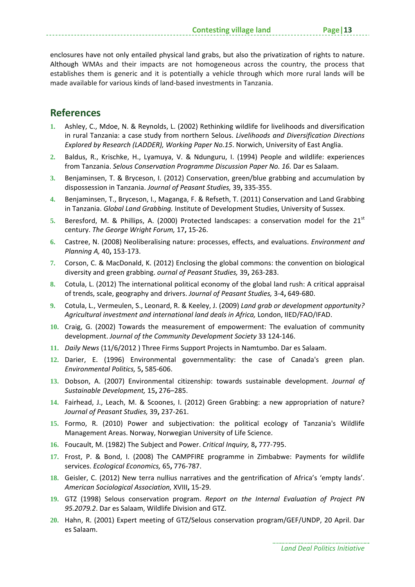enclosures have not only entailed physical land grabs, but also the privatization of rights to nature. Although WMAs and their impacts are not homogeneous across the country, the process that establishes them is generic and it is potentially a vehicle through which more rural lands will be made available for various kinds of land‐based investments in Tanzania.

## **References**

- **1.** Ashley, C., Mdoe, N. & Reynolds, L. (2002) Rethinking wildlife for livelihoods and diversification in rural Tanzania: a case study from northern Selous. *Livelihoods and Diversification Directions Explored by Research (LADDER), Working Paper No.15*. Norwich, University of East Anglia.
- **2.** Baldus, R., Krischke, H., Lyamuya, V. & Ndunguru, I. (1994) People and wildlife: experiences from Tanzania. *Selous Conservation Programme Discussion Paper No. 16.* Dar es Salaam.
- **3.** Benjaminsen, T. & Bryceson, I. (2012) Conservation, green/blue grabbing and accumulation by dispossession in Tanzania. *Journal of Peasant Studies,* 39**,** 335‐355.
- **4.** Benjaminsen, T., Bryceson, I., Maganga, F. & Refseth, T. (2011) Conservation and Land Grabbing in Tanzania. *Global Land Grabbing.* Institute of Development Studies, University of Sussex.
- **5.** Beresford, M. & Phillips, A. (2000) Protected landscapes: a conservation model for the 21st century. *The George Wright Forum,* 17**,** 15‐26.
- **6.** Castree, N. (2008) Neoliberalising nature: processes, effects, and evaluations. *Environment and Planning A,* 40**,** 153‐173.
- **7.** Corson, C. & MacDonald, K. (2012) Enclosing the global commons: the convention on biological diversity and green grabbing. *ournal of Peasant Studies,* 39**,** 263‐283.
- **8.** Cotula, L. (2012) The international political economy of the global land rush: A critical appraisal of trends, scale, geography and drivers. *Journal of Peasant Studies,* 3‐4**,** 649‐680.
- **9.** Cotula, L., Vermeulen, S., Leonard, R. & Keeley, J. (2009) *Land grab or development opportunity? Agricultural investment and international land deals in Africa,* London, IIED/FAO/IFAD.
- **10.** Craig, G. (2002) Towards the measurement of empowerment: The evaluation of community development. *Journal of the Community Development Society* 33 124‐146.
- **11.** *Daily News* (11/6/2012 ) Three Firms Support Projects in Namtumbo. Dar es Salaam.
- **12.** Darier, E. (1996) Environmental governmentality: the case of Canada's green plan. *Environmental Politics,* 5**,** 585‐606.
- **13.** Dobson, A. (2007) Environmental citizenship: towards sustainable development. *Journal of Sustainable Development,* 15**,** 276–285.
- **14.** Fairhead, J., Leach, M. & Scoones, I. (2012) Green Grabbing: a new appropriation of nature? *Journal of Peasant Studies,* 39**,** 237‐261.
- **15.** Formo, R. (2010) Power and subjectivation: the political ecology of Tanzania's Wildlife Management Areas. Norway, Norwegian University of Life Science.
- **16.** Foucault, M. (1982) The Subject and Power. *Critical Inquiry,* 8**,** 777‐795.
- **17.** Frost, P. & Bond, I. (2008) The CAMPFIRE programme in Zimbabwe: Payments for wildlife services. *Ecological Economics,* 65**,** 776‐787.
- **18.** Geisler, C. (2012) New terra nullius narratives and the gentrification of Africa's 'empty lands'. *American Sociological Association,* XVIII**,** 15‐29.
- **19.** GTZ (1998) Selous conservation program. *Report on the Internal Evaluation of Project PN 95.2079.2*. Dar es Salaam, Wildlife Division and GTZ.
- **20.** Hahn, R. (2001) Expert meeting of GTZ/Selous conservation program/GEF/UNDP, 20 April. Dar es Salaam.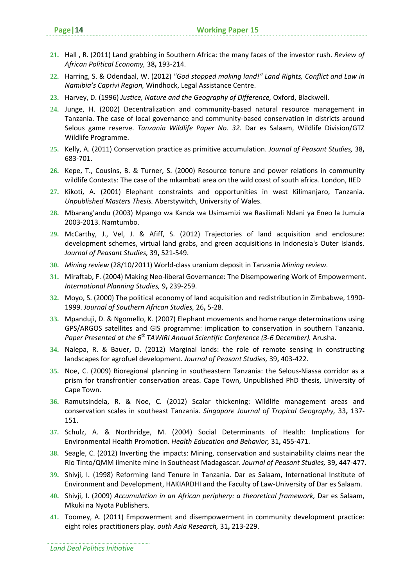- **21.** Hall , R. (2011) Land grabbing in Southern Africa: the many faces of the investor rush. *Review of African Political Economy,* 38**,** 193‐214.
- **22.** Harring, S. & Odendaal, W. (2012) *"God stopped making land!" Land Rights, Conflict and Law in Namibia's Caprivi Region,* Windhock, Legal Assistance Centre.
- **23.** Harvey, D. (1996) *Justice, Nature and the Geography of Difference,* Oxford, Blackwell.
- **24.** Junge, H. (2002) Decentralization and community‐based natural resource management in Tanzania. The case of local governance and community‐based conservation in districts around Selous game reserve. *Tanzania Wildlife Paper No. 32.* Dar es Salaam, Wildlife Division/GTZ Wildlife Programme.
- **25.** Kelly, A. (2011) Conservation practice as primitive accumulation. *Journal of Peasant Studies,* 38**,** 683‐701.
- **26.** Kepe, T., Cousins, B. & Turner, S. (2000) Resource tenure and power relations in community wildlife Contexts: The case of the mkambati area on the wild coast of south africa. London, IIED
- **27.** Kikoti, A. (2001) Elephant constraints and opportunities in west Kilimanjaro, Tanzania. *Unpublished Masters Thesis.* Aberstywitch, University of Wales.
- **28.** Mbarang'andu (2003) Mpango wa Kanda wa Usimamizi wa Rasilimali Ndani ya Eneo la Jumuia 2003‐2013. Namtumbo.
- **29.** McCarthy, J., Vel, J. & Afiff, S. (2012) Trajectories of land acquisition and enclosure: development schemes, virtual land grabs, and green acquisitions in Indonesia's Outer Islands. *Journal of Peasant Studies,* 39**,** 521‐549.
- **30.** *Mining review* (28/10/2011) World‐class uranium deposit in Tanzania *Mining review.*
- **31.** Miraftab, F. (2004) Making Neo‐liberal Governance: The Disempowering Work of Empowerment. *International Planning Studies,* 9**,** 239‐259.
- **32.** Moyo, S. (2000) The political economy of land acquisition and redistribution in Zimbabwe, 1990‐ 1999. *Journal of Southern African Studies,* 26**,** 5‐28.
- **33.** Mpanduji, D. & Ngomello, K. (2007) Elephant movements and home range determinations using GPS/ARGOS satellites and GIS programme: implication to conservation in southern Tanzania. *Paper Presented at the 6th TAWIRI Annual Scientific Conference (3‐6 December).* Arusha.
- **34.** Nalepa, R. & Bauer, D. (2012) Marginal lands: the role of remote sensing in constructing landscapes for agrofuel development. *Journal of Peasant Studies,* 39**,** 403‐422.
- **35.** Noe, C. (2009) Bioregional planning in southeastern Tanzania: the Selous‐Niassa corridor as a prism for transfrontier conservation areas. Cape Town, Unpublished PhD thesis, University of Cape Town.
- **36.** Ramutsindela, R. & Noe, C. (2012) Scalar thickening: Wildlife management areas and conservation scales in southeast Tanzania. *Singapore Journal of Tropical Geography,* 33**,** 137‐ 151.
- **37.** Schulz, A. & Northridge, M. (2004) Social Determinants of Health: Implications for Environmental Health Promotion. *Health Education and Behavior,* 31**,** 455‐471.
- **38.** Seagle, C. (2012) Inverting the impacts: Mining, conservation and sustainability claims near the Rio Tinto/QMM ilmenite mine in Southeast Madagascar. *Journal of Peasant Studies,* 39**,** 447‐477.
- **39.** Shivji, I. (1998) Reforming land Tenure in Tanzania. Dar es Salaam, International Institute of Environment and Development, HAKIARDHI and the Faculty of Law‐University of Dar es Salaam.
- **40.** Shivji, I. (2009) *Accumulation in an African periphery: a theoretical framework,* Dar es Salaam, Mkuki na Nyota Publishers.
- **41.** Toomey, A. (2011) Empowerment and disempowerment in community development practice: eight roles practitioners play. *outh Asia Research,* 31**,** 213‐229.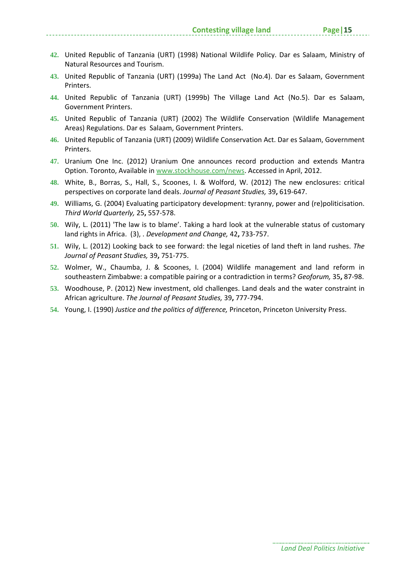- **42.** United Republic of Tanzania (URT) (1998) National Wildlife Policy. Dar es Salaam, Ministry of Natural Resources and Tourism.
- **43.** United Republic of Tanzania (URT) (1999a) The Land Act (No.4). Dar es Salaam, Government Printers.
- **44.** United Republic of Tanzania (URT) (1999b) The Village Land Act (No.5). Dar es Salaam, Government Printers.
- **45.** United Republic of Tanzania (URT) (2002) The Wildlife Conservation (Wildlife Management Areas) Regulations. Dar es Salaam, Government Printers.
- **46.** United Republic of Tanzania (URT) (2009) Wildlife Conservation Act. Dar es Salaam, Government Printers.
- **47.** Uranium One Inc. (2012) Uranium One announces record production and extends Mantra Option. Toronto, Available in www.stockhouse.com/news. Accessed in April, 2012.
- **48.** White, B., Borras, S., Hall, S., Scoones, I. & Wolford, W. (2012) The new enclosures: critical perspectives on corporate land deals. *Journal of Peasant Studies,* 39**,** 619‐647.
- **49.** Williams, G. (2004) Evaluating participatory development: tyranny, power and (re)politicisation. *Third World Quarterly,* 25**,** 557‐578.
- **50.** Wily, L. (2011) 'The law is to blame'. Taking a hard look at the vulnerable status of customary land rights in Africa. (3), . *Development and Change,* 42**,** 733‐757.
- **51.** Wily, L. (2012) Looking back to see forward: the legal niceties of land theft in land rushes. *The Journal of Peasant Studies,* 39**,** 751‐775.
- **52.** Wolmer, W., Chaumba, J. & Scoones, I. (2004) Wildlife management and land reform in southeastern Zimbabwe: a compatible pairing or a contradiction in terms? *Geoforum,* 35**,** 87‐98.
- **53.** Woodhouse, P. (2012) New investment, old challenges. Land deals and the water constraint in African agriculture. *The Journal of Peasant Studies,* 39**,** 777‐794.
- **54.** Young, I. (1990) *Justice and the politics of difference,* Princeton, Princeton University Press.